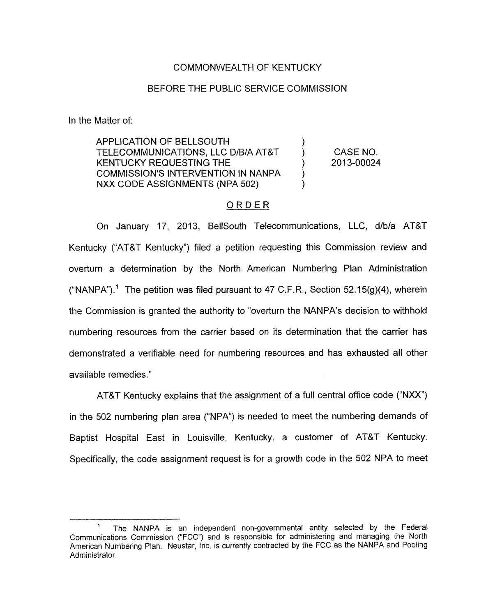## COMMONWEALTH OF KENTUCKY

## BEFORE THE PUBLIC SERVICE COMMISSION

In the Matter of:

- -

APPLICATION OF BELLSOUTH ) TELECOMMUNICATIONS, LLC D/B/A AT&T ) CASE NO. COMMISSION'S INTERVENTION IN NANPA ) KENTUCKY REQUESTING THE  $(2013-00024)$ NXX CODE ASSIGNMENTS (NPA 502) E<br>DN IN NANP*I*<br>PA 502)<br><u>O R D E R</u>

On January 17, 2013, BellSouth Telecommunications, LLC, d/b/a AT&T Kentucky ("AT&T Kentucky") filed a petition requesting this Commission review and overturn a determination by the North American Numbering Plan Administration ("NANPA").<sup>1</sup> The petition was filed pursuant to 47 C.F.R., Section 52.15(g)(4), wherein the Commission is granted the authority to "overturn the NANPA's decision to withhold numbering resources from the carrier based on its determination that the carrier has demonstrated a verifiable need for numbering resources and has exhausted all other available remedies."

AT&T Kentucky explains that the assignment of a full central office code ("NXX") in the 502 numbering plan area ("NPA") is needed to meet the numbering demands of Baptist Hospital East in Louisville, Kentucky, a customer of AT&T Kentucky. Specifically, the code assignment request is for a growth code in the 502 NPA to meet

The NANPA is an independent non-governmental entity selected by the Federal Communications Commission ("FCC") and is responsible for administering and managing the North American Numbering Plan. Neustar, Inc. is currently contracted by the FCC as the NANPA and Pooling Administrator. **1**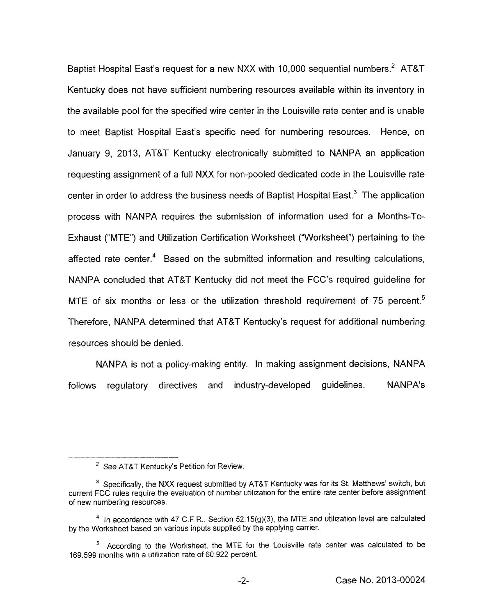Baptist Hospital East's request for a new NXX with 10,000 sequential numbers.<sup>2</sup> AT&T Kentucky does not have sufficient numbering resources available within its inventory in the available pool for the specified wire center in the Louisville rate center and is unable to meet Baptist Hospital East's specific need for numbering resources. Hence, on January 9, 2013, AT&T Kentucky electronically submitted to NANPA an application requesting assignment of a full NXX for non-pooled dedicated code in the Louisville rate center in order to address the business needs of Baptist Hospital East.<sup>3</sup> The application process with NANPA requires the submission of information used for a Months-To-Exhaust ("MTE") and Utilization Certification Worksheet ("Worksheet") pertaining to the affected rate center.<sup>4</sup> Based on the submitted information and resulting calculations, NANPA concluded that AT&T Kentucky did not meet the FCC's required guideline for MTE of six months or less or the utilization threshold requirement of  $75$  percent.<sup>5</sup> Therefore, NANPA determined that AT&T Kentucky's request for additional numbering resources should be denied.

NANPA is not a policy-making entity. In making assignment decisions, NANPA follows regulatory directives and industry-developed guidelines. NANPA's

<sup>&</sup>lt;sup>2</sup> See AT&T Kentucky's Petition for Review.

<sup>&</sup>lt;sup>3</sup> Specifically, the NXX request submitted by AT&T Kentucky was for its St. Matthews' switch, but current FCC rules require the evaluation of number utilization for the entire rate center before assignment of new numbering resources.

 $<sup>4</sup>$  In accordance with 47 C.F.R., Section 52.15(g)(3), the MTE and utilization level are calculated</sup> by the Worksheet based on various inputs supplied by the applying carrier.

According to the Worksheet, the MTE for the Louisville rate center was calculated to be **5**  169.599 months with a utilization rate of 60.922 percent.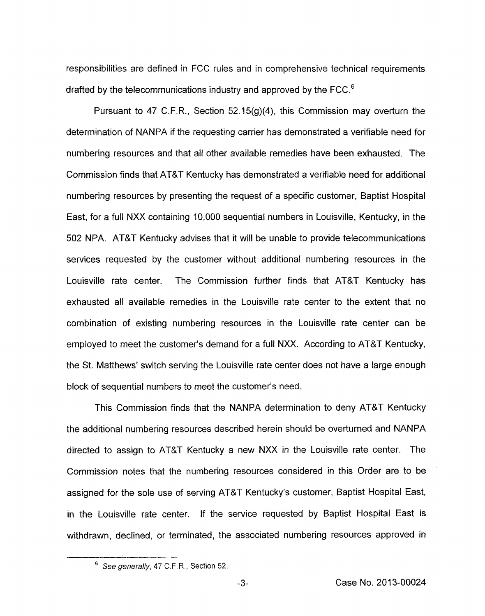responsibilities are defined in FCC rules and in comprehensive technical requirements drafted by the telecommunications industry and approved by the FCC.<sup>6</sup>

Pursuant to 47 C.F.R., Section 52.15(9)(4), this Commission may overturn the determination of NANPA if the requesting carrier has demonstrated a verifiable need for numbering resources and that all other available remedies have been exhausted. The Commission finds that AT&T Kentucky has demonstrated a verifiable need for additional numbering resources by presenting the request of a specific customer, Baptist Hospital East, for a full NXX containing 10,000 sequential numbers in Louisville, Kentucky, in the 502 NPA. AT&T Kentucky advises that it will be unable to provide telecommunications services requested by the customer without additional numbering resources in the Louisville rate center. The Commission further finds that AT&T Kentucky has exhausted all available remedies in the Louisville rate center to the extent that no combination of existing numbering resources in the Louisville rate center can be employed to meet the customer's demand for a full NXX. According to AT&T Kentucky, the St. Matthews' switch serving the Louisville rate center does not have a large enough block of sequential numbers to meet the customer's need.

This Commission finds that the NANPA determination to deny AT&T Kentucky the additional numbering resources described herein should be overturned and NANPA directed to assign to AT&T Kentucky a new NXX in the Louisville rate center. The Commission notes that the numbering resources considered in this Order are to be assigned for the sole use of serving AT&T Kentucky's customer, Baptist Hospital East, in the Louisville rate center. If the service requested by Baptist Hospital East is withdrawn, declined, or terminated, the associated numbering resources approved in

*See generally,* 47 C.F.R., Section 52.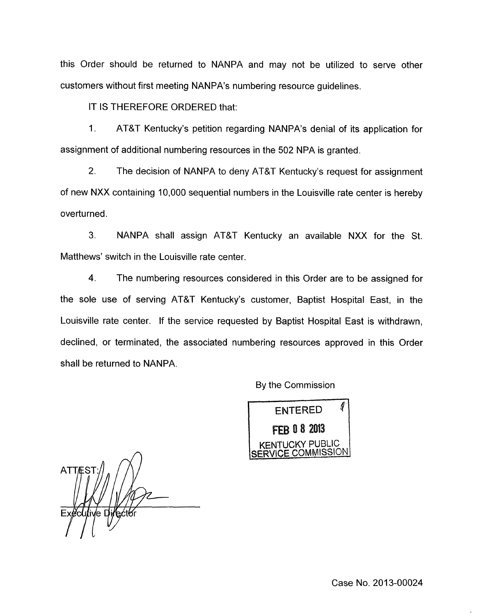this Order should be returned to NANPA and may not be utilized to serve other customers without first meeting NANPA's numbering resource guidelines.

IT IS THEREFORE ORDERED that:

1. AT&T Kentucky's petition regarding NANPA's denial of its application for assignment of additional numbering resources in the 502 NPA is granted.

2. The decision of NANPA to deny AT&T Kentucky's request for assignment of new NXX containing 10,000 sequential numbers in the Louisville rate center is hereby overturned.

3. NANPA shall assign AT&T Kentucky an available NXX for the St. Matthews' switch in the Louisville rate center.

4. The numbering resources considered in this Order are to be assigned for the sole use of serving AT&T Kentucky's customer, Baptist Hospital East, in the Louisville rate center. If the service requested by Baptist Hospital East is withdrawn, declined, or terminated, the associated numbering resources approved in this Order shall be returned to NANPA.

By the Commission



ATTES<sup>-</sup> Executive Directo

Case No. 2013-00024